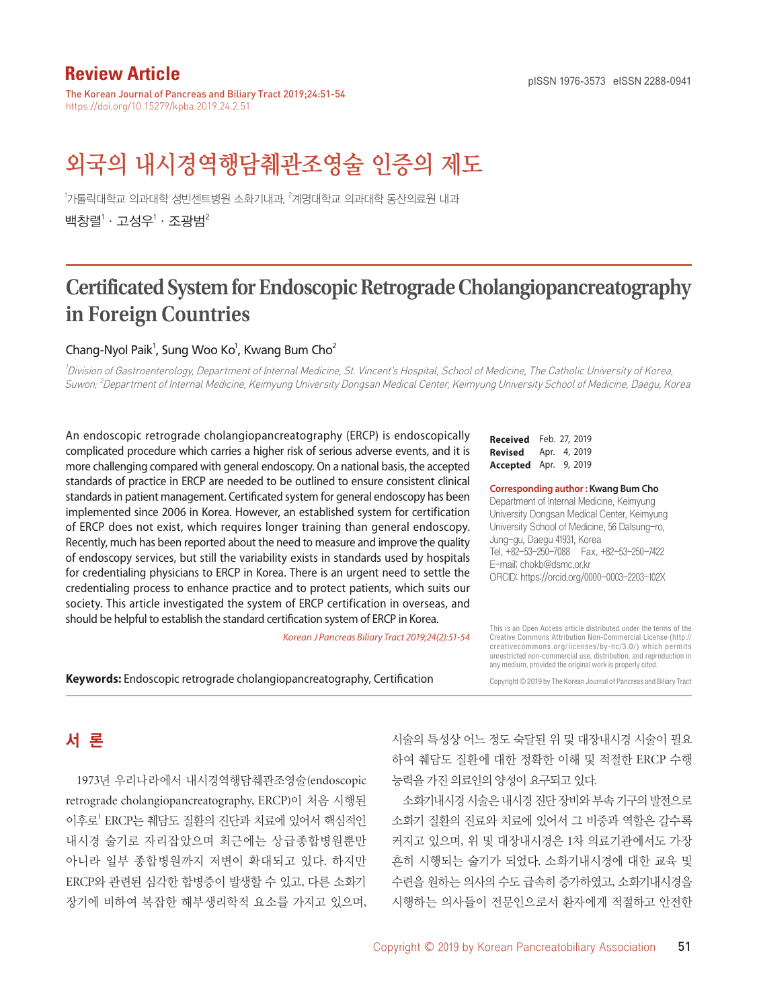# **Review Article Constanting Constanting Constanting Propose and Propose 2288-0941** pISSN 1976-3573 eISSN 2288-0941

The Korean Journal of Pancreas and Biliary Tract 2019;24:51-54 https://doi.org/10.15279/kpba.2019.24.2.51

# 외국의 내시경역행담췌관조영술 인증의 제도

<sup>1</sup>가톨릭대학과 의과대학 성빈센트병원 소화기내과, <sup>2</sup>계명대학교 의과대학 동산의료원 내과 백창렬 $^1\cdot$  고성우 $^1\cdot$  조광범 $^2$ 

# **Certificated System for Endoscopic Retrograde Cholangiopancreatography in Foreign Countries**

#### Chang-Nyol Paik<sup>1</sup>, Sung Woo Ko<sup>1</sup>, Kwang Bum Cho<sup>2</sup>

1 Division of Gastroenterology, Department of Internal Medicine, St. Vincent's Hospital, School of Medicine, The Catholic University of Korea, Suwon; <sup>2</sup>Department of Internal Medicine, Keimyung University Dongsan Medical Center, Keimyung University School of Medicine, Daegu, Korea

An endoscopic retrograde cholangiopancreatography (ERCP) is endoscopically complicated procedure which carries a higher risk of serious adverse events, and it is more challenging compared with general endoscopy. On a national basis, the accepted standards of practice in ERCP are needed to be outlined to ensure consistent clinical standards in patient management. Certificated system for general endoscopy has been implemented since 2006 in Korea. However, an established system for certification of ERCP does not exist, which requires longer training than general endoscopy. Recently, much has been reported about the need to measure and improve the quality of endoscopy services, but still the variability exists in standards used by hospitals for credentialing physicians to ERCP in Korea. There is an urgent need to settle the credentialing process to enhance practice and to protect patients, which suits our society. This article investigated the system of ERCP certification in overseas, and should be helpful to establish the standard certification system of ERCP in Korea.

*Korean J Pancreas Biliary Tract 2019;24(2):51-54*

**Received** Feb. 27, 2019 **Revised** Apr. 4, 2019 **Accepted** Apr. 9, 2019

#### **Corresponding author : Kwang Bum Cho**

Department of Internal Medicine, Keimyung University Dongsan Medical Center, Keimyung University School of Medicine, 56 Dalsung-ro, Jung-gu, Daegu 41931, Korea Tel. +82-53-250-7088 Fax. +82-53-250-7422 E-mail; chokb@dsmc.or.kr ORCID: https://orcid.org/0000-0003-2203-102X

This is an Open Access article distributed under the terms of the Creative Commons Attribution Non-Commercial License (http:// creativecommons.org/licenses/by-nc/3.0/) which permits unrestricted non-commercial use, distribution, and reproduction in any medium, provided the original work is properly cited.

**Keywords:** Endoscopic retrograde cholangiopancreatography, Certification

Copyright © 2019 by The Korean Journal of Pancreas and Biliary Tract

# 서 론

1973년 우리나라에서 내시경역행담췌관조영술(endoscopic retrograde cholangiopancreatography, ERCP)이 처음 시행된 이후로<sup>1</sup> ERCP는 췌담도 질환의 진단과 치료에 있어서 핵심적인 내시경 술기로 자리잡았으며 최근에는 상급종합병원뿐만 아니라 일부 종합병원까지 저변이 확대되고 있다. 하지만 ERCP와 관련된 심각한 합병증이 발생할 수 있고, 다른 소화기 장기에 비하여 복잡한 해부생리학적 요소를 가지고 있으며, 시술의 특성상 어느 정도 숙달된 위 및 대장내시경 시술이 필요 하여 췌담도 질환에 대한 정확한 이해 및 적절한 ERCP 수행 능력을 가진 의료인의 양성이 요구되고 있다.

소화기내시경시술은내시경진단장비와부속기구의발전으로 소화기 질환의 진료와 치료에 있어서 그 비중과 역할은 갈수록 커지고 있으며, 위 및 대장내시경은 1차 의료기관에서도 가장 흔히 시행되는 술기가 되었다. 소화기내시경에 대한 교육 및 수련을 원하는 의사의 수도 급속히 증가하였고, 소화기내시경을 시행하는 의사들이 전문인으로서 환자에게 적절하고 안전한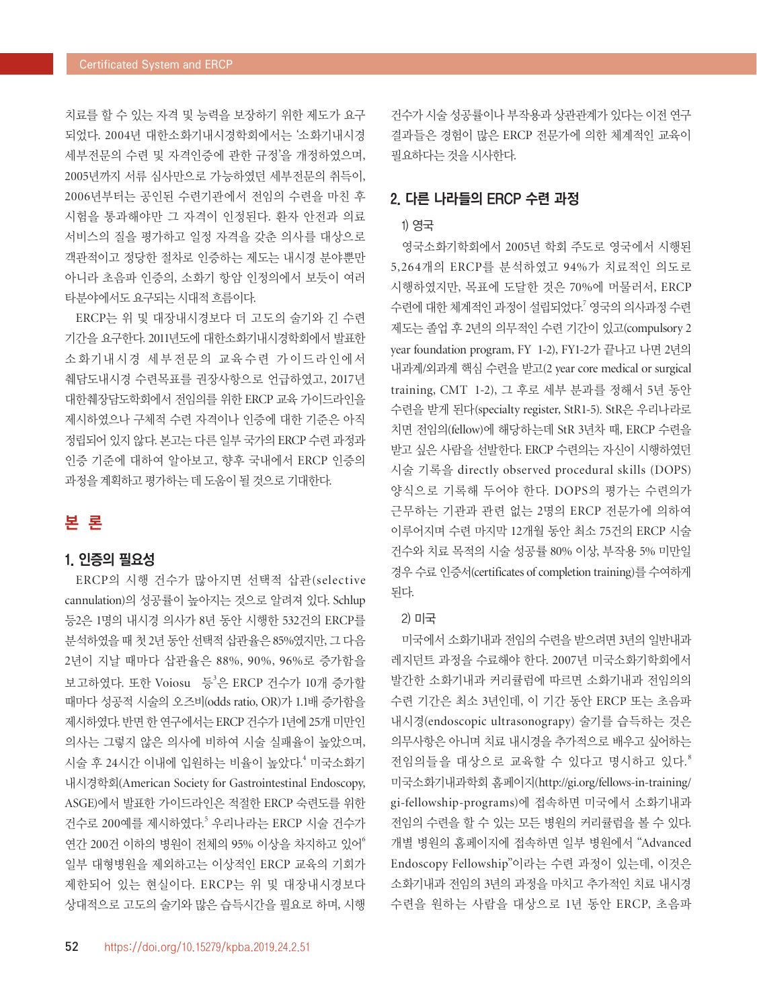치료를 할 수 있는 자격 및 능력을 보장하기 위한 제도가 요구 되었다. 2004년 대한소화기내시경학회에서는 '소화기내시경 세부전문의 수련 및 자격인증에 관한 규정'을 개정하였으며, 2005년까지 서류 심사만으로 가능하였던 세부전문의 취득이, 2006년부터는 공인된 수련기관에서 전임의 수련을 마친 후 시험을 통과해야만 그 자격이 인정된다. 환자 안전과 의료 서비스의 질을 평가하고 일정 자격을 갖춘 의사를 대상으로 객관적이고 정당한 절차로 인증하는 제도는 내시경 분야뿐만 아니라 초음파 인증의, 소화기 항암 인정의에서 보듯이 여러 타분야에서도 요구되는 시대적 흐름이다.

ERCP는 위 및 대장내시경보다 더 고도의 술기와 긴 수련 기간을 요구한다. 2011년도에 대한소화기내시경학회에서 발표한 소화기내시경 세부전문의 교육수련 가이드라인에서 췌담도내시경 수련목표를 권장사항으로 언급하였고, 2017년 대한췌장담도학회에서 전임의를 위한 ERCP 교육 가이드라인을 제시하였으나 구체적 수련 자격이나 인증에 대한 기준은 아직 정립되어 있지 않다. 본고는 다른 일부 국가의 ERCP 수련 과정과 인증 기준에 대하여 알아보고, 향후 국내에서 ERCP 인증의 과정을 계획하고 평가하는 데 도움이 될 것으로 기대한다.

# 본 론

## 1. 인증의 필요성

ERCP의 시행 건수가 많아지면 선택적 삽관(selective cannulation)의 성공률이 높아지는 것으로 알려져 있다. Schlup 등2은 1명의 내시경 의사가 8년 동안 시행한 532건의 ERCP를 분석하였을 때 첫 2년 동안 선택적 삽관율은 85%였지만, 그 다음 2년이 지날 때마다 삽관율은 88%, 90%, 96%로 증가함을 보고하였다. 또한 Voiosu 등'은 ERCP 건수가 10개 증가할 때마다 성공적 시술의 오즈비(odds ratio, OR)가 1.1배 증가함을 제시하였다. 반면 한 연구에서는 ERCP 건수가 1년에 25개 미만인 의사는 그렇지 않은 의사에 비하여 시술 실패율이 높았으며, 시술 후 24시간 이내에 입원하는 비율이 높았다. <sup>4</sup> 미국소화기 내시경학회(American Society for Gastrointestinal Endoscopy, ASGE)에서 발표한 가이드라인은 적절한 ERCP 숙련도를 위한 건수로 200예를 제시하였다. <sup>5</sup> 우리나라는 ERCP 시술 건수가 연간 200건 이하의 병원이 전체의 95% 이상을 차지하고 있어<sup>6</sup> 일부 대형병원을 제외하고는 이상적인 ERCP 교육의 기회가 제한되어 있는 현실이다. ERCP는 위 및 대장내시경보다 상대적으로 고도의 술기와 많은 습득시간을 필요로 하며, 시행

건수가 시술 성공률이나 부작용과 상관관계가 있다는 이전 연구 결과들은 경험이 많은 ERCP 전문가에 의한 체계적인 교육이 필요하다는 것을 시사한다.

## 2. 다른 나라들의 ERCP 수련 과정

## 1) 영국

영국소화기학회에서 2005년 학회 주도로 영국에서 시행된 5,264개의 ERCP를 분석하였고 94%가 치료적인 의도로 시행하였지만, 목표에 도달한 것은 70%에 머물러서, ERCP 수련에 대한 체계적인 과정이 설립되었다. 7 영국의 의사과정 수련 제도는 졸업 후 2년의 의무적인 수련 기간이 있고(compulsory 2 year foundation program, FY 1-2), FY1-2가 끝나고 나면 2년의 내과계/외과계 핵심 수련을 받고(2 year core medical or surgical training, CMT 1-2), 그 후로 세부 분과를 정해서 5년 동안 수련을 받게 된다(specialty register, StR1-5). StR은 우리나라로 치면 전임의(fellow)에 해당하는데 StR 3년차 때, ERCP 수련을 받고 싶은 사람을 선발한다. ERCP 수련의는 자신이 시행하였던 시술 기록을 directly observed procedural skills (DOPS) 양식으로 기록해 두어야 한다. DOPS의 평가는 수련의가 근무하는 기관과 관련 없는 2명의 ERCP 전문가에 의하여 이루어지며 수련 마지막 12개월 동안 최소 75건의 ERCP 시술 건수와 치료 목적의 시술 성공률 80% 이상, 부작용 5% 미만일 경우 수료 인증서(certificates of completion training)를 수여하게 된다.

#### 2) 미국

미국에서 소화기내과 전임의 수련을 받으려면 3년의 일반내과 레지던트 과정을 수료해야 한다. 2007년 미국소화기학회에서 발간한 소화기내과 커리큘럼에 따르면 소화기내과 전임의의 수련 기간은 최소 3년인데, 이 기간 동안 ERCP 또는 초음파 내시경(endoscopic ultrasonograpy) 술기를 습득하는 것은 의무사항은 아니며 치료 내시경을 추가적으로 배우고 싶어하는 전임의들을 대상으로 교육할 수 있다고 명시하고 있다. 8 미국소화기내과학회 홈페이지(http://gi.org/fellows-in-training/ gi-fellowship-programs)에 접속하면 미국에서 소화기내과 전임의 수련을 할 수 있는 모든 병원의 커리큘럼을 볼 수 있다. 개별 병원의 홈페이지에 접속하면 일부 병원에서 "Advanced Endoscopy Fellowship"이라는 수련 과정이 있는데, 이것은 소화기내과 전임의 3년의 과정을 마치고 추가적인 치료 내시경 수련을 원하는 사람을 대상으로 1년 동안 ERCP, 초음파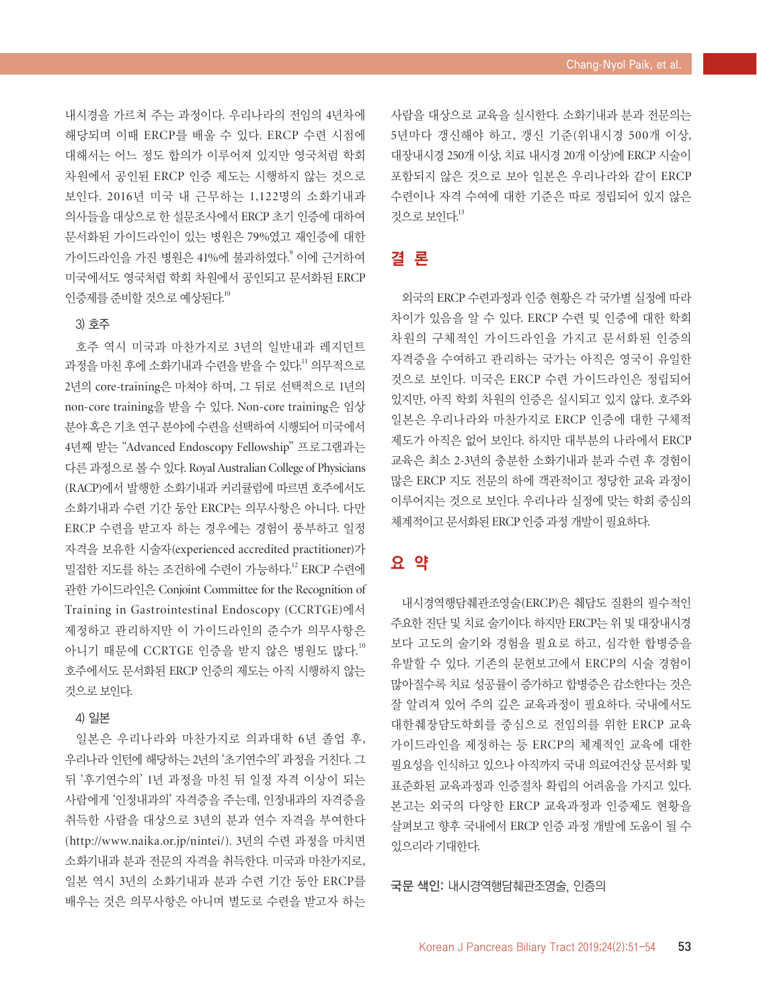내시경을 가르쳐 주는 과정이다. 우리나라의 전임의 4년차에 해당되며 이때 ERCP를 배울 수 있다. ERCP 수련 시점에 대해서는 어느 정도 합의가 이루어져 있지만 영국처럼 학회 차원에서 공인된 ERCP 인증 제도는 시행하지 않는 것으로 보인다. 2016년 미국 내 근무하는 1,122명의 소화기내과 의사들을 대상으로 한 설문조사에서 ERCP 초기 인증에 대하여 문서화된 가이드라인이 있는 병원은 79%였고 재인증에 대한 가이드라인을 가진 병원은 41%에 불과하였다. <sup>9</sup> 이에 근거하여 미국에서도 영국처럼 학회 차원에서 공인되고 문서화된 ERCP 인증제를 준비할 것으로 예상된다. 10

### 3) 호주

호주 역시 미국과 마찬가지로 3년의 일반내과 레지던트 과정을 마친 후에 소화기내과 수련을 받을 수 있다.<sup>!!</sup> 의무적으로 2년의 core-training은 마쳐야 하며, 그 뒤로 선택적으로 1년의 non-core training을 받을 수 있다. Non-core training은 임상 분야 혹은 기초 연구 분야에 수련을 선택하여 시행되어 미국에서 4년째 받는 "Advanced Endoscopy Fellowship" 프로그램과는 다른 과정으로 볼 수 있다. Royal Australian College of Physicians (RACP)에서 발행한 소화기내과 커리큘럼에 따르면 호주에서도 소화기내과 수련 기간 동안 ERCP는 의무사항은 아니다. 다만 ERCP 수련을 받고자 하는 경우에는 경험이 풍부하고 일정 자격을 보유한 시술자(experienced accredited practitioner)가 밀접한 지도를 하는 조건하에 수련이 가능하다.<sup>12</sup> ERCP 수련에 관한 가이드라인은 Conjoint Committee for the Recognition of Training in Gastrointestinal Endoscopy (CCRTGE)에서 제정하고 관리하지만 이 가이드라인의 준수가 의무사항은 아니기 때문에 CCRTGE 인증을 받지 않은 병원도 많다.<sup>10</sup> 호주에서도 문서화된 ERCP 인증의 제도는 아직 시행하지 않는 것으로 보인다.

#### 4) 일본

일본은 우리나라와 마찬가지로 의과대학 6년 졸업 후, 우리나라 인턴에 해당하는 2년의 '초기연수의' 과정을 거친다. 그 뒤 '후기연수의' 1년 과정을 마친 뒤 일정 자격 이상이 되는 사람에게 '인정내과의' 자격증을 주는데, 인정내과의 자격증을 취득한 사람을 대상으로 3년의 분과 연수 자격을 부여한다 (http://www.naika.or.jp/nintei/). 3년의 수련 과정을 마치면 소화기내과 분과 전문의 자격을 취득한다. 미국과 마찬가지로, 일본 역시 3년의 소화기내과 분과 수련 기간 동안 ERCP를 배우는 것은 의무사항은 아니며 별도로 수련을 받고자 하는

사람을 대상으로 교육을 실시한다. 소화기내과 분과 전문의는 5년마다 갱신해야 하고, 갱신 기준(위내시경 500개 이상, 대장내시경 250개 이상, 치료 내시경 20개 이상)에 ERCP 시술이 포함되지 않은 것으로 보아 일본은 우리나라와 같이 ERCP 수련이나 자격 수여에 대한 기준은 따로 정립되어 있지 않은 것으로 보인다. 13

# 결 론

외국의 ERCP 수련과정과 인증 현황은 각 국가별 실정에 따라 차이가 있음을 알 수 있다. ERCP 수련 및 인증에 대한 학회 차원의 구체적인 가이드라인을 가지고 문서화된 인증의 자격증을 수여하고 관리하는 국가는 아직은 영국이 유일한 것으로 보인다. 미국은 ERCP 수련 가이드라인은 정립되어 있지만, 아직 학회 차원의 인증은 실시되고 있지 않다. 호주와 일본은 우리나라와 마찬가지로 ERCP 인증에 대한 구체적 제도가 아직은 없어 보인다. 하지만 대부분의 나라에서 ERCP 교육은 최소 2-3년의 충분한 소화기내과 분과 수련 후 경험이 많은 ERCP 지도 전문의 하에 객관적이고 정당한 교육 과정이 이루어지는 것으로 보인다. 우리나라 실정에 맞는 학회 중심의 체계적이고 문서화된 ERCP 인증 과정 개발이 필요하다.

## 요 약

내시경역행담췌관조영술(ERCP)은 췌담도 질환의 필수적인 주요한 진단 및 치료 술기이다. 하지만 ERCP는 위 및 대장내시경 보다 고도의 술기와 경험을 필요로 하고, 심각한 합병증을 유발할 수 있다. 기존의 문헌보고에서 ERCP의 시술 경험이 많아질수록 치료 성공률이 증가하고 합병증은 감소한다는 것은 잘 알려져 있어 주의 깊은 교육과정이 필요하다. 국내에서도 대한췌장담도학회를 중심으로 전임의를 위한 ERCP 교육 가이드라인을 제정하는 등 ERCP의 체계적인 교육에 대한 필요성을 인식하고 있으나 아직까지 국내 의료여건상 문서화 및 표준화된 교육과정과 인증절차 확립의 어려움을 가지고 있다. 본고는 외국의 다양한 ERCP 교육과정과 인증제도 현황을 살펴보고 향후 국내에서 ERCP 인증 과정 개발에 도움이 될 수 있으리라 기대한다.

국문 색인: 내시경역행담췌관조영술, 인증의